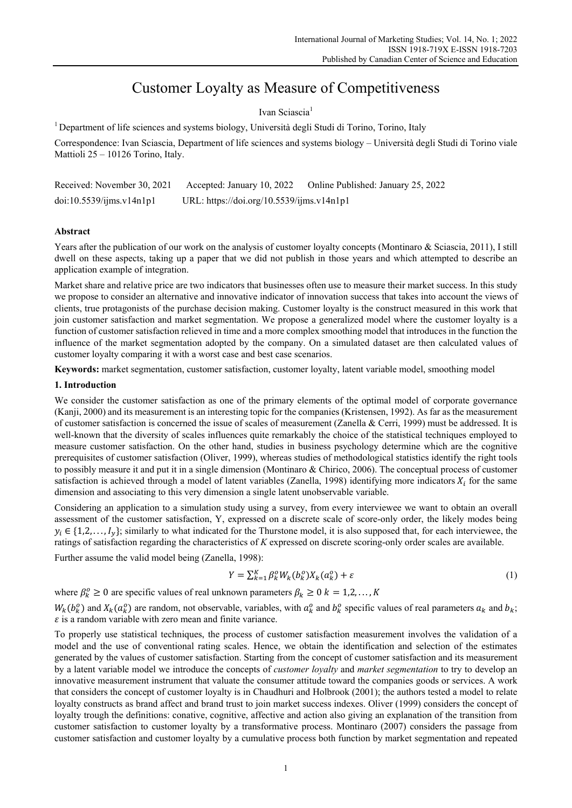# Customer Loyalty as Measure of Competitiveness

Ivan Sciascia<sup>1</sup>

<sup>1</sup> Department of life sciences and systems biology, Università degli Studi di Torino, Torino, Italy

Correspondence: Ivan Sciascia, Department of life sciences and systems biology – Università degli Studi di Torino viale Mattioli 25 – 10126 Torino, Italy.

| Received: November 30, 2021 | Accepted: January 10, 2022                | Online Published: January 25, 2022 |
|-----------------------------|-------------------------------------------|------------------------------------|
| doi:10.5539/jms.v14n1p1     | URL: https://doi.org/10.5539/ijms.v14n1p1 |                                    |

# **Abstract**

Years after the publication of our work on the analysis of customer loyalty concepts (Montinaro & Sciascia, 2011), I still dwell on these aspects, taking up a paper that we did not publish in those years and which attempted to describe an application example of integration.

Market share and relative price are two indicators that businesses often use to measure their market success. In this study we propose to consider an alternative and innovative indicator of innovation success that takes into account the views of clients, true protagonists of the purchase decision making. Customer loyalty is the construct measured in this work that join customer satisfaction and market segmentation. We propose a generalized model where the customer loyalty is a function of customer satisfaction relieved in time and a more complex smoothing model that introduces in the function the influence of the market segmentation adopted by the company. On a simulated dataset are then calculated values of customer loyalty comparing it with a worst case and best case scenarios.

**Keywords:** market segmentation, customer satisfaction, customer loyalty, latent variable model, smoothing model

# **1. Introduction**

We consider the customer satisfaction as one of the primary elements of the optimal model of corporate governance (Kanji, 2000) and its measurement is an interesting topic for the companies (Kristensen, 1992). As far as the measurement of customer satisfaction is concerned the issue of scales of measurement (Zanella & Cerri, 1999) must be addressed. It is well-known that the diversity of scales influences quite remarkably the choice of the statistical techniques employed to measure customer satisfaction. On the other hand, studies in business psychology determine which are the cognitive prerequisites of customer satisfaction (Oliver, 1999), whereas studies of methodological statistics identify the right tools to possibly measure it and put it in a single dimension (Montinaro & Chirico, 2006). The conceptual process of customer satisfaction is achieved through a model of latent variables (Zanella, 1998) identifying more indicators  $X_i$  for the same dimension and associating to this very dimension a single latent unobservable variable.

Considering an application to a simulation study using a survey, from every interviewee we want to obtain an overall assessment of the customer satisfaction, Y, expressed on a discrete scale of score-only order, the likely modes being  $y_i \in \{1,2,\ldots, I_y\}$ ; similarly to what indicated for the Thurstone model, it is also supposed that, for each interviewee, the ratings of satisfaction regarding the characteristics of *K* expressed on discrete scoring-only order scales are available.

Further assume the valid model being (Zanella, 1998):

$$
Y = \sum_{k=1}^{K} \beta_k^o W_k(b_k^o) X_k(a_k^o) + \varepsilon
$$
\n<sup>(1)</sup>

where  $\beta_k^0 \ge 0$  are specific values of real unknown parameters  $\beta_k \ge 0$   $k = 1, 2, ..., K$ 

 $W_k(b_k^o)$  and  $X_k(a_k^o)$  are random, not observable, variables, with  $a_k^o$  and  $b_k^o$  specific values of real parameters  $a_k$  and  $b_k$ ;  $\varepsilon$  is a random variable with zero mean and finite variance.

To properly use statistical techniques, the process of customer satisfaction measurement involves the validation of a model and the use of conventional rating scales. Hence, we obtain the identification and selection of the estimates generated by the values of customer satisfaction. Starting from the concept of customer satisfaction and its measurement by a latent variable model we introduce the concepts of *customer loyalty* and *market segmentation* to try to develop an innovative measurement instrument that valuate the consumer attitude toward the companies goods or services. A work that considers the concept of customer loyalty is in Chaudhuri and Holbrook (2001); the authors tested a model to relate loyalty constructs as brand affect and brand trust to join market success indexes. Oliver (1999) considers the concept of loyalty trough the definitions: conative, cognitive, affective and action also giving an explanation of the transition from customer satisfaction to customer loyalty by a transformative process. Montinaro (2007) considers the passage from customer satisfaction and customer loyalty by a cumulative process both function by market segmentation and repeated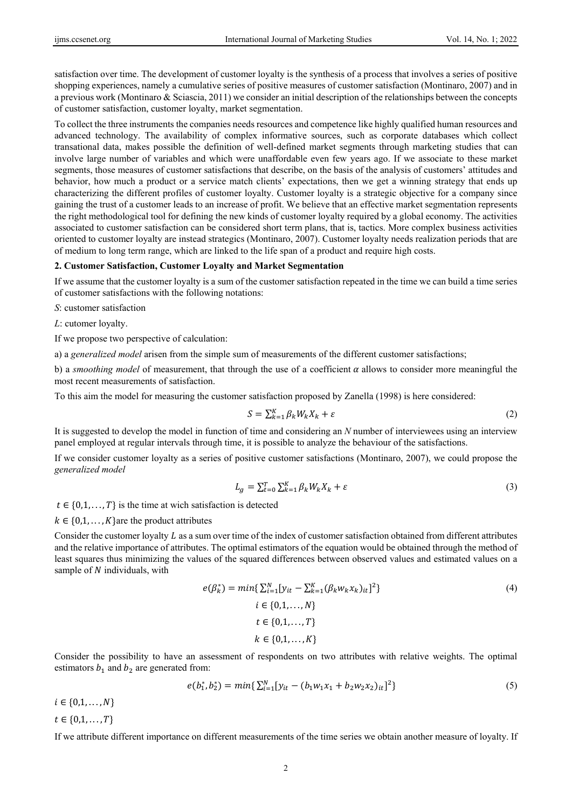satisfaction over time. The development of customer loyalty is the synthesis of a process that involves a series of positive shopping experiences, namely a cumulative series of positive measures of customer satisfaction (Montinaro, 2007) and in a previous work (Montinaro & Sciascia, 2011) we consider an initial description of the relationships between the concepts of customer satisfaction, customer loyalty, market segmentation.

To collect the three instruments the companies needs resources and competence like highly qualified human resources and advanced technology. The availability of complex informative sources, such as corporate databases which collect transational data, makes possible the definition of well-defined market segments through marketing studies that can involve large number of variables and which were unaffordable even few years ago. If we associate to these market segments, those measures of customer satisfactions that describe, on the basis of the analysis of customers' attitudes and behavior, how much a product or a service match clients' expectations, then we get a winning strategy that ends up characterizing the different profiles of customer loyalty. Customer loyalty is a strategic objective for a company since gaining the trust of a customer leads to an increase of profit. We believe that an effective market segmentation represents the right methodological tool for defining the new kinds of customer loyalty required by a global economy. The activities associated to customer satisfaction can be considered short term plans, that is, tactics. More complex business activities oriented to customer loyalty are instead strategics (Montinaro, 2007). Customer loyalty needs realization periods that are of medium to long term range, which are linked to the life span of a product and require high costs.

#### **2. Customer Satisfaction, Customer Loyalty and Market Segmentation**

If we assume that the customer loyalty is a sum of the customer satisfaction repeated in the time we can build a time series of customer satisfactions with the following notations:

*S*: customer satisfaction

*L*: cutomer loyalty.

If we propose two perspective of calculation:

a) a *generalized model* arisen from the simple sum of measurements of the different customer satisfactions;

b) a *smoothing model* of measurement, that through the use of a coefficient  $\alpha$  allows to consider more meaningful the most recent measurements of satisfaction.

To this aim the model for measuring the customer satisfaction proposed by Zanella (1998) is here considered:

$$
S = \sum_{k=1}^{K} \beta_k W_k X_k + \varepsilon \tag{2}
$$

It is suggested to develop the model in function of time and considering an *N* number of interviewees using an interview panel employed at regular intervals through time, it is possible to analyze the behaviour of the satisfactions.

If we consider customer loyalty as a series of positive customer satisfactions (Montinaro, 2007), we could propose the *generalized model*

$$
L_g = \sum_{k=0}^{T} \sum_{k=1}^{K} \beta_k W_k X_k + \varepsilon
$$
\n(3)

 $t \in \{0,1,\ldots,T\}$  is the time at wich satisfaction is detected

 $k \in \{0,1,\ldots,K\}$  are the product attributes

Consider the customer loyalty  $L$  as a sum over time of the index of customer satisfaction obtained from different attributes and the relative importance of attributes. The optimal estimators of the equation would be obtained through the method of least squares thus minimizing the values of the squared differences between observed values and estimated values on a sample of  $N$  individuals, with

$$
e(\beta_k^*) = \min\{\sum_{i=1}^N [y_{it} - \sum_{k=1}^K (\beta_k w_k x_k)_{it}]^2\}
$$
  
\n $i \in \{0, 1, ..., N\}$   
\n $t \in \{0, 1, ..., T\}$   
\n $k \in \{0, 1, ..., K\}$ 

Consider the possibility to have an assessment of respondents on two attributes with relative weights. The optimal estimators  $b_1$  and  $b_2$  are generated from:

$$
e(b_1^*, b_2^*) = min\{\sum_{i=1}^N [y_{it} - (b_1 w_1 x_1 + b_2 w_2 x_2)_{it}]^2\}
$$
\n
$$
(5)
$$

 $i \in \{0, 1, ..., N\}$ 

 $t \in \{0, 1, ..., T\}$ 

If we attribute different importance on different measurements of the time series we obtain another measure of loyalty. If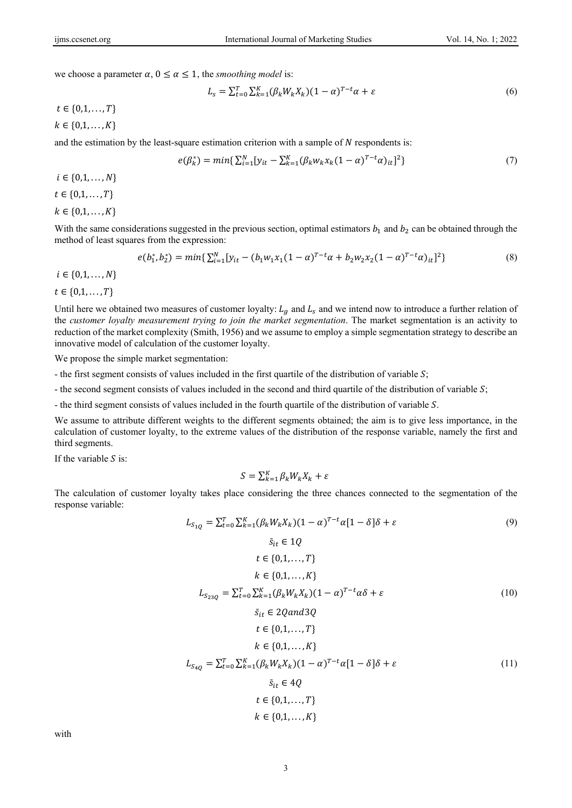we choose a parameter  $\alpha$ ,  $0 \le \alpha \le 1$ , the *smoothing model* is:

$$
L_s = \sum_{t=0}^{T} \sum_{k=1}^{K} (\beta_k W_k X_k)(1 - \alpha)^{T - t} \alpha + \varepsilon
$$
\n<sup>(6)</sup>

 $t \in \{0,1,\ldots,T\}$ 

 $k \in \{0,1,\ldots,K\}$ 

and the estimation by the least-square estimation criterion with a sample of  $N$  respondents is:

$$
e(\beta_k^*) = \min\{\sum_{i=1}^N [y_{it} - \sum_{k=1}^K (\beta_k w_k x_k (1 - \alpha)^{T - t} \alpha)_{it}]^2\}
$$
(7)

 $i \in \{0, 1, ..., N\}$  $t \in \{0, 1, \ldots, T\}$ 

 $k \in \{0,1,\ldots,K\}$ 

With the same considerations suggested in the previous section, optimal estimators  $b_1$  and  $b_2$  can be obtained through the method of least squares from the expression:

in 12

$$
e(b_1^*, b_2^*) = min\{\sum_{i=1}^N [y_{it} - (b_1 w_1 x_1 (1 - \alpha)^{T - t} \alpha + b_2 w_2 x_2 (1 - \alpha)^{T - t} \alpha)_{it}]^2\}
$$
(8)

 $i \in \{0, 1, ..., N\}$ 

 $t \in \{0, 1, ..., T\}$ 

Until here we obtained two measures of customer loyalty:  $L_q$  and  $L_s$  and we intend now to introduce a further relation of the *customer loyalty measurement trying to join the market segmentation*. The market segmentation is an activity to reduction of the market complexity (Smith, 1956) and we assume to employ a simple segmentation strategy to describe an innovative model of calculation of the customer loyalty.

We propose the simple market segmentation:

- the first segment consists of values included in the first quartile of the distribution of variable  $S$ ;

- the second segment consists of values included in the second and third quartile of the distribution of variable  $\mathcal{S}$ ;

- the third segment consists of values included in the fourth quartile of the distribution of variable S.

We assume to attribute different weights to the different segments obtained; the aim is to give less importance, in the calculation of customer loyalty, to the extreme values of the distribution of the response variable, namely the first and third segments.

If the variable  $S$  is:

$$
S = \sum_{k=1}^{K} \beta_k W_k X_k + \varepsilon
$$

The calculation of customer loyalty takes place considering the three chances connected to the segmentation of the response variable:

$$
L_{S_{1Q}} = \sum_{t=0}^{T} \sum_{k=1}^{K} (\beta_k W_k X_k)(1 - \alpha)^{T-t} \alpha [1 - \delta] \delta + \varepsilon
$$
(9)  
\n
$$
\bar{s}_{it} \in 1Q
$$
  
\n
$$
t \in \{0, 1, ..., T\}
$$
  
\n
$$
k \in \{0, 1, ..., K\}
$$
  
\n
$$
L_{S_{23Q}} = \sum_{t=0}^{T} \sum_{k=1}^{K} (\beta_k W_k X_k)(1 - \alpha)^{T-t} \alpha \delta + \varepsilon
$$
(10)  
\n
$$
\bar{s}_{it} \in 2Q and 3Q
$$
  
\n
$$
t \in \{0, 1, ..., T\}
$$
  
\n
$$
k \in \{0, 1, ..., K\}
$$
  
\n
$$
L_{S_{4Q}} = \sum_{t=0}^{T} \sum_{k=1}^{K} (\beta_k W_k X_k)(1 - \alpha)^{T-t} \alpha [1 - \delta] \delta + \varepsilon
$$
(11)  
\n
$$
\bar{s}_{it} \in 4Q
$$
  
\n
$$
t \in \{0, 1, ..., T\}
$$
  
\n
$$
k \in \{0, 1, ..., K\}
$$
  
\n
$$
k \in \{0, 1, ..., K\}
$$

with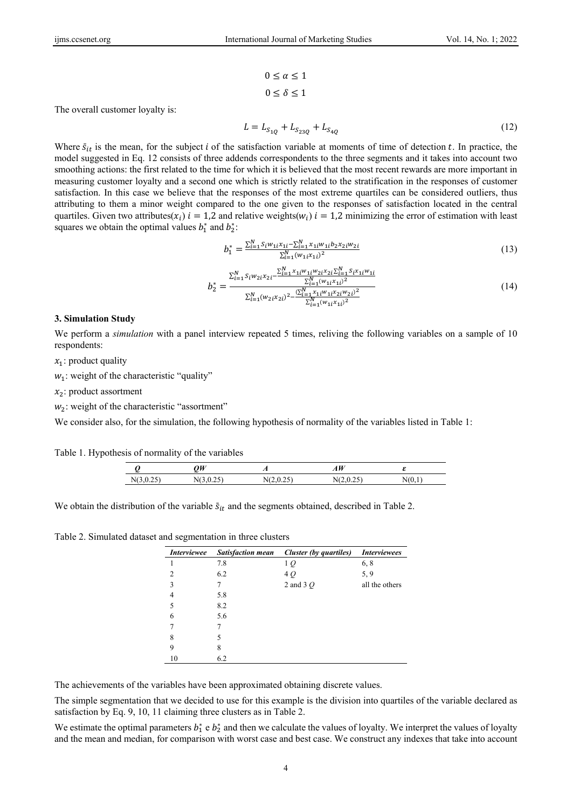$$
0 \le \alpha \le 1
$$
  

$$
0 \le \delta \le 1
$$

The overall customer loyalty is:

$$
L = L_{S_{1Q}} + L_{S_{23Q}} + L_{S_{4Q}}
$$
\n<sup>(12)</sup>

Where  $\bar{s}_{it}$  is the mean, for the subject *i* of the satisfaction variable at moments of time of detection *t*. In practice, the model suggested in Eq. 12 consists of three addends correspondents to the three segments and it takes into account two smoothing actions: the first related to the time for which it is believed that the most recent rewards are more important in measuring customer loyalty and a second one which is strictly related to the stratification in the responses of customer satisfaction. In this case we believe that the responses of the most extreme quartiles can be considered outliers, thus attributing to them a minor weight compared to the one given to the responses of satisfaction located in the central quartiles. Given two attributes( $x_i$ )  $i = 1,2$  and relative weights( $w_i$ )  $i = 1,2$  minimizing the error of estimation with least squares we obtain the optimal values  $b_1^*$  and  $b_2^*$ :

$$
b_1^* = \frac{\sum_{i=1}^N s_i w_{1i} x_{1i} - \sum_{i=1}^N x_{1i} w_{1i} b_2 x_{2i} w_{2i}}{\sum_{i=1}^N (w_{1i} x_{1i})^2}
$$
(13)

$$
b_2^* = \frac{\sum_{i=1}^N s_i w_{2i} x_{2i} - \frac{\sum_{i=1}^N x_{1i} w_{1i} w_{2i} x_{2i} \sum_{i=1}^N s_i x_{1i} w_{1i}}{\sum_{i=1}^N (w_{1i} x_{1i})^2}}{\sum_{i=1}^N (w_{2i} x_{2i})^2 - \frac{\sum_{i=1}^N x_{1i} w_{1i} x_{2i} w_{2i} \sum_{i=1}^N (w_{1i} x_{1i})^2}{\sum_{i=1}^N (w_{1i} x_{1i})^2}}
$$
(14)

#### **3. Simulation Study**

We perform a *simulation* with a panel interview repeated 5 times, reliving the following variables on a sample of 10 respondents:

 $x_1$ : product quality

 $w_1$ : weight of the characteristic "quality"

 $x_2$ : product assortment

 $w<sub>2</sub>$ : weight of the characteristic "assortment"

We consider also, for the simulation, the following hypothesis of normality of the variables listed in Table 1:

Table 1. Hypothesis of normality of the variables

|                                     | $\Omega$                               | . .    | $\boldsymbol{u}$ |  |
|-------------------------------------|----------------------------------------|--------|------------------|--|
| N.<br>$\sim$ $\sim$ $\sim$<br>. 1.0 | $\sim$ $\sim$ $\sim$<br>. .<br>$\cdot$ | N<br>. | .<br>-           |  |

We obtain the distribution of the variable  $\bar{s}_{it}$  and the segments obtained, described in Table 2.

Table 2. Simulated dataset and segmentation in three clusters

| <i>Interviewee</i> | <b>Satisfaction mean</b> | Cluster (by quartiles) | <i>Interviewees</i> |
|--------------------|--------------------------|------------------------|---------------------|
|                    | 7.8                      | 1 Q                    | 6, 8                |
| 2                  | 6.2                      | 4Q                     | 5, 9                |
| $\mathbf{3}$       | 7                        | 2 and 3 $O$            | all the others      |
| 4                  | 5.8                      |                        |                     |
|                    | 8.2                      |                        |                     |
| 6                  | 5.6                      |                        |                     |
|                    |                          |                        |                     |
| 8                  | 5                        |                        |                     |
| 9                  | 8                        |                        |                     |
| 10                 | 6.2                      |                        |                     |

The achievements of the variables have been approximated obtaining discrete values.

The simple segmentation that we decided to use for this example is the division into quartiles of the variable declared as satisfaction by Eq. 9, 10, 11 claiming three clusters as in Table 2.

We estimate the optimal parameters  $b_1^*$  e  $b_2^*$  and then we calculate the values of loyalty. We interpret the values of loyalty and the mean and median, for comparison with worst case and best case. We construct any indexes that take into account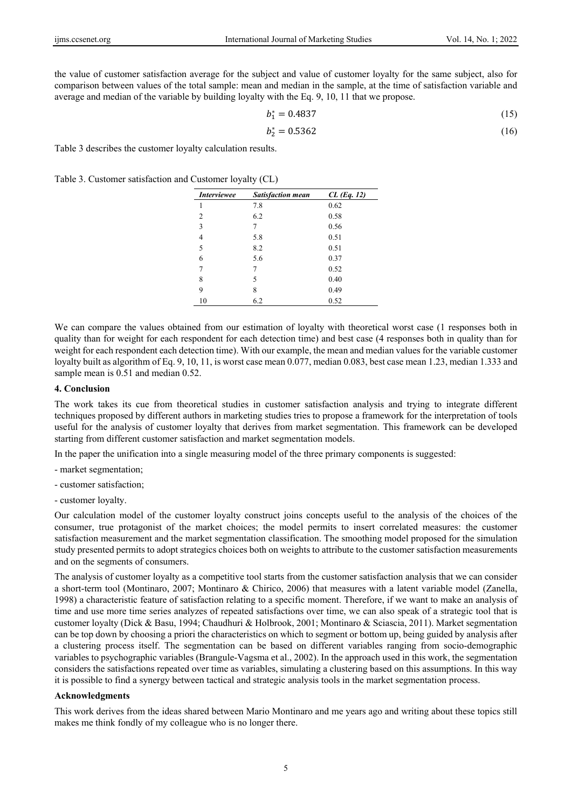the value of customer satisfaction average for the subject and value of customer loyalty for the same subject, also for comparison between values of the total sample: mean and median in the sample, at the time of satisfaction variable and average and median of the variable by building loyalty with the Eq. 9, 10, 11 that we propose.

$$
b_1^* = 0.4837 \tag{15}
$$

$$
b_2^* = 0.5362 \tag{16}
$$

Table 3 describes the customer loyalty calculation results.

Table 3. Customer satisfaction and Customer loyalty (CL)

| <i>Interviewee</i> | <b>Satisfaction mean</b> | $CL$ (Eq. 12) |
|--------------------|--------------------------|---------------|
| 1                  | 7.8                      | 0.62          |
| $\overline{c}$     | 6.2                      | 0.58          |
| 3                  | 7                        | 0.56          |
| $\overline{4}$     | 5.8                      | 0.51          |
| 5                  | 8.2                      | 0.51          |
| 6                  | 5.6                      | 0.37          |
| 7                  | 7                        | 0.52          |
| 8                  | 5                        | 0.40          |
| 9                  | 8                        | 0.49          |
| 10                 | 6.2                      | 0.52          |

We can compare the values obtained from our estimation of loyalty with theoretical worst case (1 responses both in quality than for weight for each respondent for each detection time) and best case (4 responses both in quality than for weight for each respondent each detection time). With our example, the mean and median values for the variable customer loyalty built as algorithm of Eq. 9, 10, 11, is worst case mean 0.077, median 0.083, best case mean 1.23, median 1.333 and sample mean is 0.51 and median 0.52.

## **4. Conclusion**

The work takes its cue from theoretical studies in customer satisfaction analysis and trying to integrate different techniques proposed by different authors in marketing studies tries to propose a framework for the interpretation of tools useful for the analysis of customer loyalty that derives from market segmentation. This framework can be developed starting from different customer satisfaction and market segmentation models.

In the paper the unification into a single measuring model of the three primary components is suggested:

- market segmentation;
- customer satisfaction;
- customer loyalty.

Our calculation model of the customer loyalty construct joins concepts useful to the analysis of the choices of the consumer, true protagonist of the market choices; the model permits to insert correlated measures: the customer satisfaction measurement and the market segmentation classification. The smoothing model proposed for the simulation study presented permits to adopt strategics choices both on weights to attribute to the customer satisfaction measurements and on the segments of consumers.

The analysis of customer loyalty as a competitive tool starts from the customer satisfaction analysis that we can consider a short-term tool (Montinaro, 2007; Montinaro & Chirico, 2006) that measures with a latent variable model (Zanella, 1998) a characteristic feature of satisfaction relating to a specific moment. Therefore, if we want to make an analysis of time and use more time series analyzes of repeated satisfactions over time, we can also speak of a strategic tool that is customer loyalty (Dick & Basu, 1994; Chaudhuri & Holbrook, 2001; Montinaro & Sciascia, 2011). Market segmentation can be top down by choosing a priori the characteristics on which to segment or bottom up, being guided by analysis after a clustering process itself. The segmentation can be based on different variables ranging from socio-demographic variables to psychographic variables (Brangule-Vagsma et al., 2002). In the approach used in this work, the segmentation considers the satisfactions repeated over time as variables, simulating a clustering based on this assumptions. In this way it is possible to find a synergy between tactical and strategic analysis tools in the market segmentation process.

#### **Acknowledgments**

This work derives from the ideas shared between Mario Montinaro and me years ago and writing about these topics still makes me think fondly of my colleague who is no longer there.